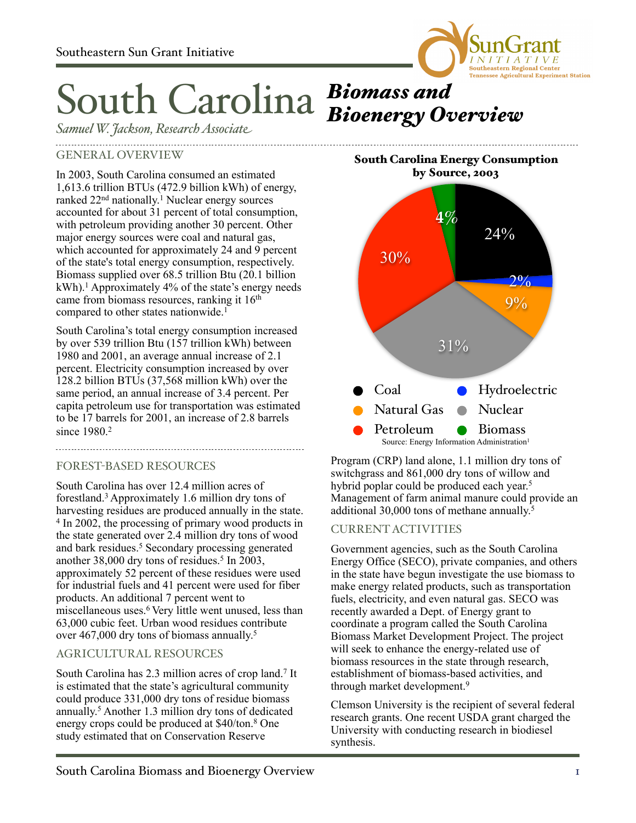

# South Carolina *Biomass and Bioenergy Overview*

*SamuelW. Jackson, ResearchAssociate*

### GENERAL OVERVIEW

In 2003, South Carolina consumed an estimated 1,613.6 trillion BTUs (472.9 billion kWh) of energy, ranked 22<sup>nd</sup> nationally.<sup>1</sup> Nuclear energy sources accounted for about 31 percent of total consumption, with petroleum providing another 30 percent. Other major energy sources were coal and natural gas, which accounted for approximately 24 and 9 percent of the state's total energy consumption, respectively. Biomass supplied over 68.5 trillion Btu (20.1 billion  $kWh$ .<sup>1</sup> Approximately 4% of the state's energy needs came from biomass resources, ranking it 16<sup>th</sup> compared to other states nationwide.<sup>1</sup>

South Carolina's total energy consumption increased by over 539 trillion Btu (157 trillion kWh) between 1980 and 2001, an average annual increase of 2.1 percent. Electricity consumption increased by over 128.2 billion BTUs (37,568 million kWh) over the same period, an annual increase of 3.4 percent. Per capita petroleum use for transportation was estimated to be 17 barrels for 2001, an increase of 2.8 barrels since 1980.<sup>2</sup>

## FOREST-BASED RESOURCES

South Carolina has over 12.4 million acres of forestland.3 Approximately 1.6 million dry tons of harvesting residues are produced annually in the state. 4 In 2002, the processing of primary wood products in the state generated over 2.4 million dry tons of wood and bark residues.<sup>5</sup> Secondary processing generated another 38,000 dry tons of residues.<sup>5</sup> In 2003, approximately 52 percent of these residues were used for industrial fuels and 41 percent were used for fiber products. An additional 7 percent went to miscellaneous uses.<sup>6</sup> Very little went unused, less than 63,000 cubic feet. Urban wood residues contribute over 467,000 dry tons of biomass annually.<sup>5</sup>

### AGRICULTURAL RESOURCES

South Carolina has 2.3 million acres of crop land.7 It is estimated that the state's agricultural community could produce 331,000 dry tons of residue biomass annually. <sup>5</sup> Another 1.3 million dry tons of dedicated energy crops could be produced at \$40/ton.8 One study estimated that on Conservation Reserve

**4%** 30% 31%  $9\%$  $2\%$ 24% Coal •• Hydroelectric Natural Gas • Nuclear Petroleum Biomass South Carolina Energy Consumption by Source, 2003 Source: Energy Information Administration<sup>1</sup>

Program (CRP) land alone, 1.1 million dry tons of switchgrass and 861,000 dry tons of willow and hybrid poplar could be produced each year.<sup>5</sup> Management of farm animal manure could provide an additional 30,000 tons of methane annually. 5

### CURRENT ACTIVITIES

Government agencies, such as the South Carolina Energy Office (SECO), private companies, and others in the state have begun investigate the use biomass to make energy related products, such as transportation fuels, electricity, and even natural gas. SECO was recently awarded a Dept. of Energy grant to coordinate a program called the South Carolina Biomass Market Development Project. The project will seek to enhance the energy-related use of biomass resources in the state through research, establishment of biomass-based activities, and through market development.9

Clemson University is the recipient of several federal research grants. One recent USDA grant charged the University with conducting research in biodiesel synthesis.